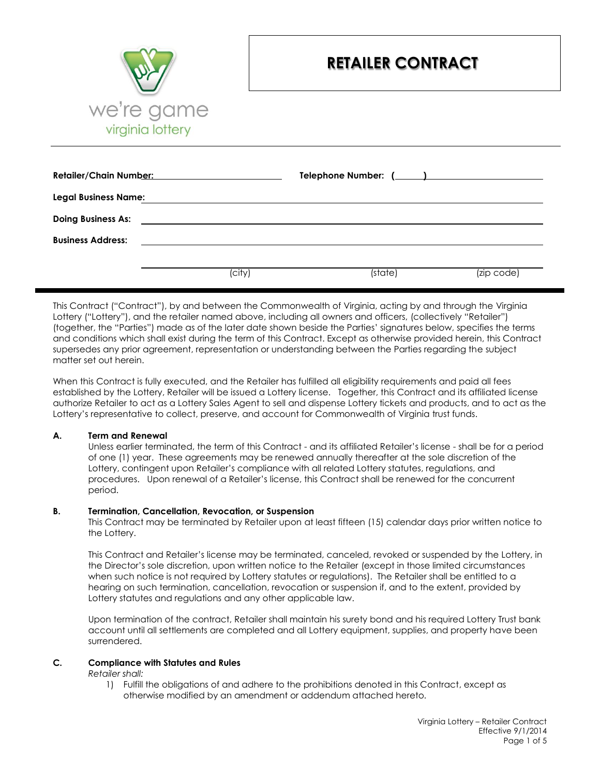

# **RETAILER CONTRACT**

| <b>Retailer/Chain Number:</b> | the control of the control of the control of the control of the control of the control of                             |         |            |
|-------------------------------|-----------------------------------------------------------------------------------------------------------------------|---------|------------|
| <b>Legal Business Name:</b>   |                                                                                                                       |         |            |
| <b>Doing Business As:</b>     | <u> 1989 - John Harry Harry Harry Harry Harry Harry Harry Harry Harry Harry Harry Harry Harry Harry Harry Harry H</u> |         |            |
| <b>Business Address:</b>      |                                                                                                                       |         |            |
|                               |                                                                                                                       |         |            |
|                               | (city)                                                                                                                | (state) | (zip code) |

This Contract ("Contract"), by and between the Commonwealth of Virginia, acting by and through the Virginia Lottery ("Lottery"), and the retailer named above, including all owners and officers, (collectively "Retailer") (together, the "Parties") made as of the later date shown beside the Parties' signatures below, specifies the terms and conditions which shall exist during the term of this Contract. Except as otherwise provided herein, this Contract supersedes any prior agreement, representation or understanding between the Parties regarding the subject matter set out herein.

When this Contract is fully executed, and the Retailer has fulfilled all eligibility requirements and paid all fees established by the Lottery, Retailer will be issued a Lottery license. Together, this Contract and its affiliated license authorize Retailer to act as a Lottery Sales Agent to sell and dispense Lottery tickets and products, and to act as the Lottery's representative to collect, preserve, and account for Commonwealth of Virginia trust funds.

#### **A. Term and Renewal**

Unless earlier terminated, the term of this Contract - and its affiliated Retailer's license - shall be for a period of one (1) year. These agreements may be renewed annually thereafter at the sole discretion of the Lottery, contingent upon Retailer's compliance with all related Lottery statutes, regulations, and procedures. Upon renewal of a Retailer's license, this Contract shall be renewed for the concurrent period.

#### **B. Termination, Cancellation, Revocation, or Suspension**

This Contract may be terminated by Retailer upon at least fifteen (15) calendar days prior written notice to the Lottery.

This Contract and Retailer's license may be terminated, canceled, revoked or suspended by the Lottery, in the Director's sole discretion, upon written notice to the Retailer (except in those limited circumstances when such notice is not required by Lottery statutes or regulations). The Retailer shall be entitled to a hearing on such termination, cancellation, revocation or suspension if, and to the extent, provided by Lottery statutes and regulations and any other applicable law.

Upon termination of the contract, Retailer shall maintain his surety bond and his required Lottery Trust bank account until all settlements are completed and all Lottery equipment, supplies, and property have been surrendered.

#### **C. Compliance with Statutes and Rules**

#### *Retailer shall:*

1) Fulfill the obligations of and adhere to the prohibitions denoted in this Contract, except as otherwise modified by an amendment or addendum attached hereto*.*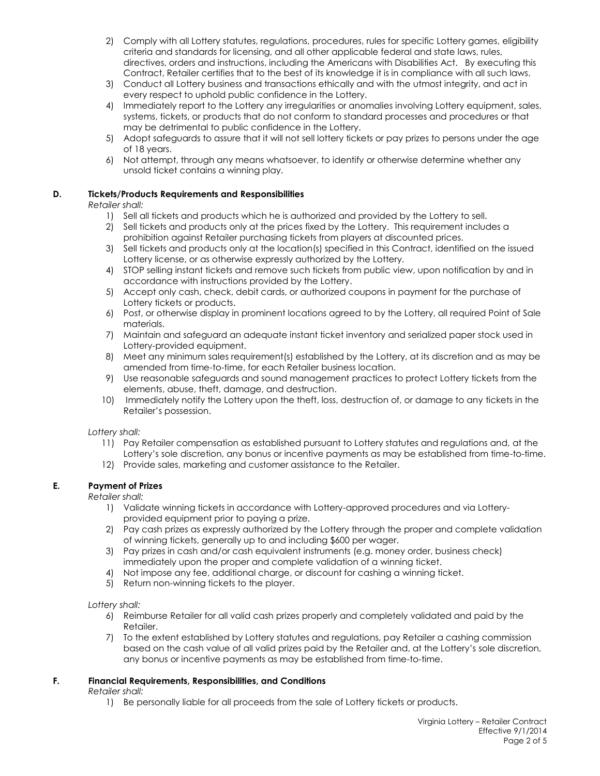- 2) Comply with all Lottery statutes, regulations, procedures, rules for specific Lottery games, eligibility criteria and standards for licensing, and all other applicable federal and state laws, rules, directives, orders and instructions, including the Americans with Disabilities Act. By executing this Contract, Retailer certifies that to the best of its knowledge it is in compliance with all such laws.
- 3) Conduct all Lottery business and transactions ethically and with the utmost integrity, and act in every respect to uphold public confidence in the Lottery.
- 4) Immediately report to the Lottery any irregularities or anomalies involving Lottery equipment, sales, systems, tickets, or products that do not conform to standard processes and procedures or that may be detrimental to public confidence in the Lottery.
- 5) Adopt safeguards to assure that it will not sell lottery tickets or pay prizes to persons under the age of 18 years.
- 6) Not attempt, through any means whatsoever, to identify or otherwise determine whether any unsold ticket contains a winning play.

# **D. Tickets/Products Requirements and Responsibilities**

*Retailer shall:*

- 1) Sell all tickets and products which he is authorized and provided by the Lottery to sell.
- 2) Sell tickets and products only at the prices fixed by the Lottery. This requirement includes a prohibition against Retailer purchasing tickets from players at discounted prices.
- 3) Sell tickets and products only at the location(s) specified in this Contract, identified on the issued Lottery license, or as otherwise expressly authorized by the Lottery.
- 4) STOP selling instant tickets and remove such tickets from public view, upon notification by and in accordance with instructions provided by the Lottery.
- 5) Accept only cash, check, debit cards, or authorized coupons in payment for the purchase of Lottery tickets or products.
- 6) Post, or otherwise display in prominent locations agreed to by the Lottery, all required Point of Sale materials.
- 7) Maintain and safeguard an adequate instant ticket inventory and serialized paper stock used in Lottery-provided equipment.
- 8) Meet any minimum sales requirement(s) established by the Lottery, at its discretion and as may be amended from time-to-time, for each Retailer business location.
- 9) Use reasonable safeguards and sound management practices to protect Lottery tickets from the elements, abuse, theft, damage, and destruction.
- 10) Immediately notify the Lottery upon the theft, loss, destruction of, or damage to any tickets in the Retailer's possession.

*Lottery shall:*

- 11) Pay Retailer compensation as established pursuant to Lottery statutes and regulations and, at the Lottery's sole discretion, any bonus or incentive payments as may be established from time-to-time.
- 12) Provide sales, marketing and customer assistance to the Retailer.

# **E. Payment of Prizes**

*Retailer shall:*

- 1) Validate winning tickets in accordance with Lottery-approved procedures and via Lotteryprovided equipment prior to paying a prize.
- 2) Pay cash prizes as expressly authorized by the Lottery through the proper and complete validation of winning tickets, generally up to and including \$600 per wager.
- 3) Pay prizes in cash and/or cash equivalent instruments (e.g. money order, business check) immediately upon the proper and complete validation of a winning ticket.
- 4) Not impose any fee, additional charge, or discount for cashing a winning ticket.
- 5) Return non-winning tickets to the player.

*Lottery shall:*

- 6) Reimburse Retailer for all valid cash prizes properly and completely validated and paid by the Retailer.
- 7) To the extent established by Lottery statutes and regulations, pay Retailer a cashing commission based on the cash value of all valid prizes paid by the Retailer and, at the Lottery's sole discretion, any bonus or incentive payments as may be established from time-to-time.

# **F. Financial Requirements, Responsibilities, and Conditions**

*Retailer shall:*

1) Be personally liable for all proceeds from the sale of Lottery tickets or products.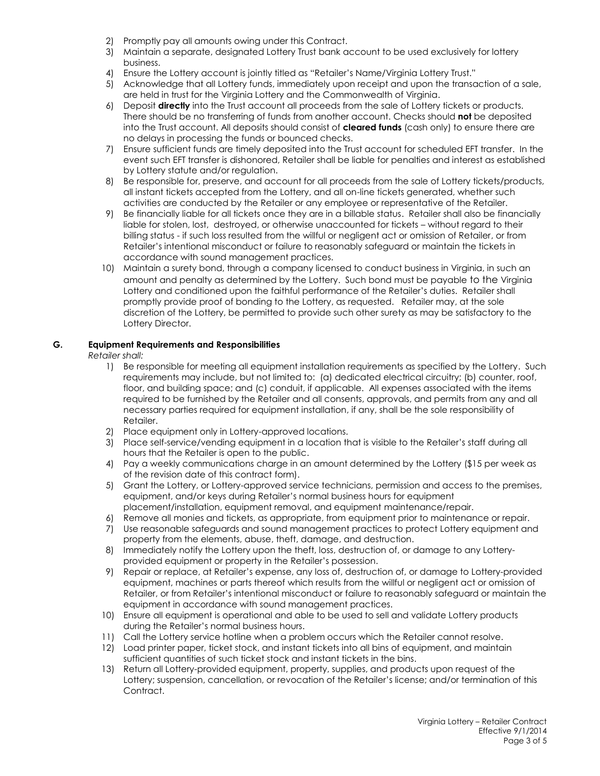- 2) Promptly pay all amounts owing under this Contract.
- 3) Maintain a separate, designated Lottery Trust bank account to be used exclusively for lottery business.
- 4) Ensure the Lottery account is jointly titled as "Retailer's Name/Virginia Lottery Trust."
- 5) Acknowledge that all Lottery funds, immediately upon receipt and upon the transaction of a sale, are held in trust for the Virginia Lottery and the Commonwealth of Virginia.
- 6) Deposit **directly** into the Trust account all proceeds from the sale of Lottery tickets or products. There should be no transferring of funds from another account. Checks should **not** be deposited into the Trust account. All deposits should consist of **cleared funds** (cash only) to ensure there are no delays in processing the funds or bounced checks.
- 7) Ensure sufficient funds are timely deposited into the Trust account for scheduled EFT transfer. In the event such EFT transfer is dishonored, Retailer shall be liable for penalties and interest as established by Lottery statute and/or regulation.
- 8) Be responsible for, preserve, and account for all proceeds from the sale of Lottery tickets/products, all instant tickets accepted from the Lottery, and all on-line tickets generated, whether such activities are conducted by the Retailer or any employee or representative of the Retailer.
- 9) Be financially liable for all tickets once they are in a billable status. Retailer shall also be financially liable for stolen, lost, destroyed, or otherwise unaccounted for tickets – without regard to their billing status - if such loss resulted from the willful or negligent act or omission of Retailer, or from Retailer's intentional misconduct or failure to reasonably safeguard or maintain the tickets in accordance with sound management practices.
- 10) Maintain a surety bond, through a company licensed to conduct business in Virginia, in such an amount and penalty as determined by the Lottery. Such bond must be payable to the Virginia Lottery and conditioned upon the faithful performance of the Retailer's duties. Retailer shall promptly provide proof of bonding to the Lottery, as requested. Retailer may, at the sole discretion of the Lottery, be permitted to provide such other surety as may be satisfactory to the Lottery Director.

# **G. Equipment Requirements and Responsibilities**

*Retailer shall:*

- 1) Be responsible for meeting all equipment installation requirements as specified by the Lottery. Such requirements may include, but not limited to: (a) dedicated electrical circuitry; (b) counter, roof, floor, and building space; and (c) conduit, if applicable. All expenses associated with the items required to be furnished by the Retailer and all consents, approvals, and permits from any and all necessary parties required for equipment installation, if any, shall be the sole responsibility of Retailer.
- 2) Place equipment only in Lottery-approved locations.
- 3) Place self-service/vending equipment in a location that is visible to the Retailer's staff during all hours that the Retailer is open to the public.
- 4) Pay a weekly communications charge in an amount determined by the Lottery (\$15 per week as of the revision date of this contract form).
- 5) Grant the Lottery, or Lottery-approved service technicians, permission and access to the premises, equipment, and/or keys during Retailer's normal business hours for equipment placement/installation, equipment removal, and equipment maintenance/repair.
- 6) Remove all monies and tickets, as appropriate, from equipment prior to maintenance or repair.
- 7) Use reasonable safeguards and sound management practices to protect Lottery equipment and property from the elements, abuse, theft, damage, and destruction.
- 8) Immediately notify the Lottery upon the theft, loss, destruction of, or damage to any Lotteryprovided equipment or property in the Retailer's possession.
- 9) Repair or replace, at Retailer's expense, any loss of, destruction of, or damage to Lottery-provided equipment, machines or parts thereof which results from the willful or negligent act or omission of Retailer, or from Retailer's intentional misconduct or failure to reasonably safeguard or maintain the equipment in accordance with sound management practices.
- 10) Ensure all equipment is operational and able to be used to sell and validate Lottery products during the Retailer's normal business hours.
- 11) Call the Lottery service hotline when a problem occurs which the Retailer cannot resolve.
- 12) Load printer paper, ticket stock, and instant tickets into all bins of equipment, and maintain sufficient quantities of such ticket stock and instant tickets in the bins.
- 13) Return all Lottery-provided equipment, property, supplies, and products upon request of the Lottery; suspension, cancellation, or revocation of the Retailer's license; and/or termination of this Contract.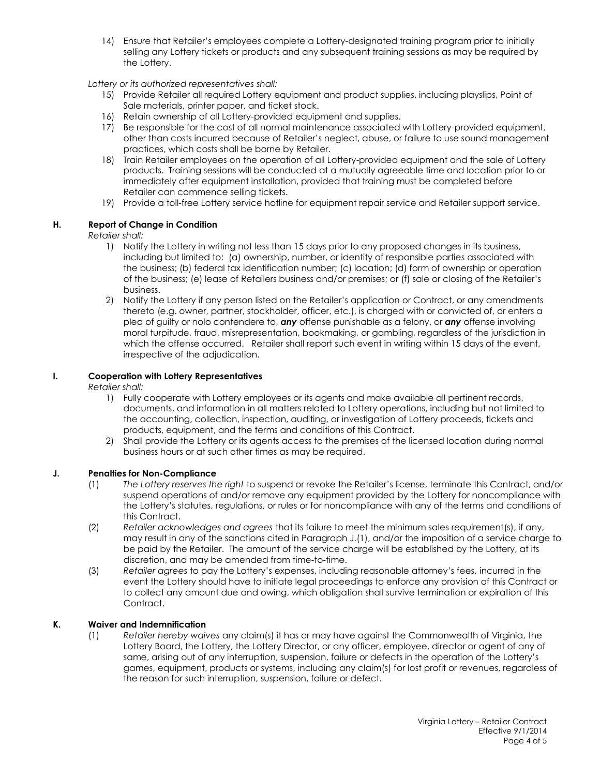14) Ensure that Retailer's employees complete a Lottery-designated training program prior to initially selling any Lottery tickets or products and any subsequent training sessions as may be required by the Lottery.

# *Lottery or its authorized representatives shall:*

- 15) Provide Retailer all required Lottery equipment and product supplies, including playslips, Point of Sale materials, printer paper, and ticket stock.
- 16) Retain ownership of all Lottery-provided equipment and supplies.
- 17) Be responsible for the cost of all normal maintenance associated with Lottery-provided equipment, other than costs incurred because of Retailer's neglect, abuse, or failure to use sound management practices, which costs shall be borne by Retailer.
- 18) Train Retailer employees on the operation of all Lottery-provided equipment and the sale of Lottery products. Training sessions will be conducted at a mutually agreeable time and location prior to or immediately after equipment installation, provided that training must be completed before Retailer can commence selling tickets.
- 19) Provide a toll-free Lottery service hotline for equipment repair service and Retailer support service.

# **H. Report of Change in Condition**

#### *Retailer shall:*

- 1) Notify the Lottery in writing not less than 15 days prior to any proposed changes in its business, including but limited to: (a) ownership, number, or identity of responsible parties associated with the business; (b) federal tax identification number; (c) location; (d) form of ownership or operation of the business; (e) lease of Retailers business and/or premises; or (f) sale or closing of the Retailer's business.
- 2) Notify the Lottery if any person listed on the Retailer's application or Contract, or any amendments thereto (e.g. owner, partner, stockholder, officer, etc.), is charged with or convicted of, or enters a plea of guilty or nolo contendere to, *any* offense punishable as a felony, or *any* offense involving moral turpitude, fraud, misrepresentation, bookmaking, or gambling, regardless of the jurisdiction in which the offense occurred. Retailer shall report such event in writing within 15 days of the event, irrespective of the adjudication.

# **I. Cooperation with Lottery Representatives**

*Retailer shall:*

- 1) Fully cooperate with Lottery employees or its agents and make available all pertinent records, documents, and information in all matters related to Lottery operations, including but not limited to the accounting, collection, inspection, auditing, or investigation of Lottery proceeds, tickets and products, equipment, and the terms and conditions of this Contract.
- 2) Shall provide the Lottery or its agents access to the premises of the licensed location during normal business hours or at such other times as may be required.

#### **J. Penalties for Non-Compliance**

- (1) *The Lottery reserves the right* to suspend or revoke the Retailer's license, terminate this Contract, and/or suspend operations of and/or remove any equipment provided by the Lottery for noncompliance with the Lottery's statutes, regulations, or rules or for noncompliance with any of the terms and conditions of this Contract.
- (2) *Retailer acknowledges and agrees* that its failure to meet the minimum sales requirement(s), if any, may result in any of the sanctions cited in Paragraph J.(1), and/or the imposition of a service charge to be paid by the Retailer. The amount of the service charge will be established by the Lottery, at its discretion, and may be amended from time-to-time.
- (3) *Retailer agrees* to pay the Lottery's expenses, including reasonable attorney's fees, incurred in the event the Lottery should have to initiate legal proceedings to enforce any provision of this Contract or to collect any amount due and owing, which obligation shall survive termination or expiration of this Contract.

# **K. Waiver and Indemnification**

(1) *Retailer hereby waives* any claim(s) it has or may have against the Commonwealth of Virginia, the Lottery Board, the Lottery, the Lottery Director, or any officer, employee, director or agent of any of same, arising out of any interruption, suspension, failure or defects in the operation of the Lottery's games, equipment, products or systems, including any claim(s) for lost profit or revenues, regardless of the reason for such interruption, suspension, failure or defect.